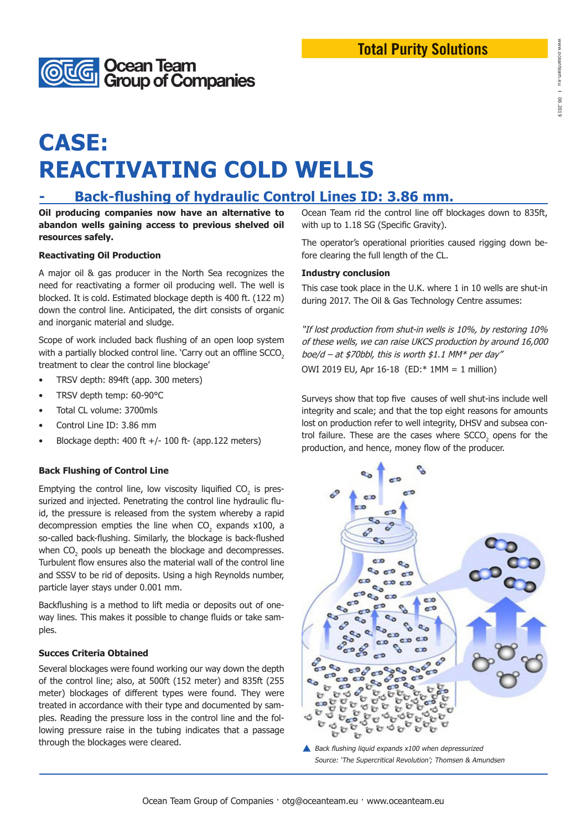# **CASE: REACTIVATING COLD WELLS**

**Ocean Team<br>Group of Companies** 

### **Back-flushing of hydraulic Control Lines ID: 3.86 mm.**

**Oil producing companies now have an alternative to abandon wells gaining access to previous shelved oil resources safely.** 

#### **Reactivating Oil Production**

A major oil & gas producer in the North Sea recognizes the need for reactivating a former oil producing well. The well is blocked. It is cold. Estimated blockage depth is 400 ft. (122 m) down the control line. Anticipated, the dirt consists of organic and inorganic material and sludge.

Scope of work included back flushing of an open loop system with a partially blocked control line. 'Carry out an offline SCCO<sub>2</sub> treatment to clear the control line blockage'

- TRSV depth: 894ft (app. 300 meters)
- TRSV depth temp: 60-90°C
- Total CL volume: 3700mls
- Control Line ID: 3.86 mm
- Blockage depth:  $400$  ft  $+/$  100 ft- (app.122 meters)

#### **Back Flushing of Control Line**

Emptying the control line, low viscosity liquified  $CO_2$  is pressurized and injected. Penetrating the control line hydraulic fluid, the pressure is released from the system whereby a rapid decompression empties the line when  $CO_2$  expands x100, a so-called back-flushing. Similarly, the blockage is back-flushed when  $\mathrm{CO}_2$  pools up beneath the blockage and decompresses. Turbulent flow ensures also the material wall of the control line and SSSV to be rid of deposits. Using a high Reynolds number, particle layer stays under 0.001 mm.

Backflushing is a method to lift media or deposits out of oneway lines. This makes it possible to change fluids or take samples.

#### **Succes Criteria Obtained**

Several blockages were found working our way down the depth of the control line; also, at 500ft (152 meter) and 835ft (255 meter) blockages of different types were found. They were treated in accordance with their type and documented by samples. Reading the pressure loss in the control line and the following pressure raise in the tubing indicates that a passage through the blockages were cleared.

Ocean Team rid the control line off blockages down to 835ft, with up to 1.18 SG (Specific Gravity).

The operator's operational priorities caused rigging down before clearing the full length of the CL.

#### **Industry conclusion**

This case took place in the U.K. where 1 in 10 wells are shut-in during 2017. The Oil & Gas Technology Centre assumes:

"If lost production from shut-in wells is 10%, by restoring 10% of these wells, we can raise UKCS production by around 16,000 boe/d – at \$70bbl, this is worth \$1.1 MM\* per day" OWI 2019 EU, Apr 16-18 (ED:\* 1MM = 1 million)

Surveys show that top five causes of well shut-ins include well integrity and scale; and that the top eight reasons for amounts lost on production refer to well integrity, DHSV and subsea control failure. These are the cases where  $\text{SCCO}_2$  opens for the production, and hence, money flow of the producer.



Source: 'The Supercritical Revolution'; Thomsen & Amundsen